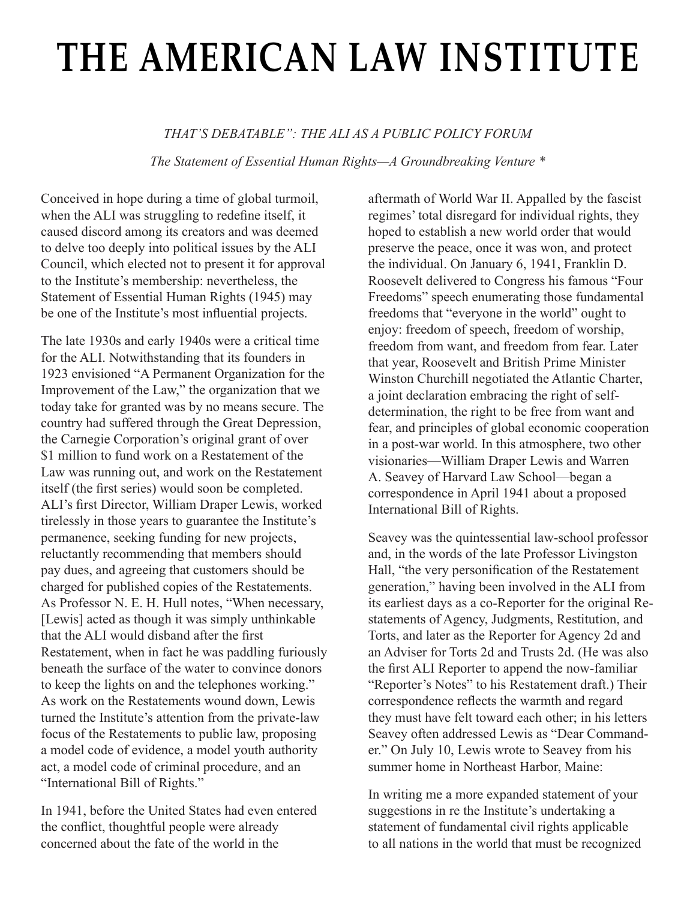## **the american law institute**

## *THAT'S DEBATABLE": THE ALI AS A PUBLIC POLICY FORUM*

*The Statement of Essential Human Rights—A Groundbreaking Venture \**

Conceived in hope during a time of global turmoil, when the ALI was struggling to redefine itself, it caused discord among its creators and was deemed to delve too deeply into political issues by the ALI Council, which elected not to present it for approval to the Institute's membership: nevertheless, the Statement of Essential Human Rights (1945) may be one of the Institute's most influential projects.

The late 1930s and early 1940s were a critical time for the ALI. Notwithstanding that its founders in 1923 envisioned "A Permanent Organization for the Improvement of the Law," the organization that we today take for granted was by no means secure. The country had suffered through the Great Depression, the Carnegie Corporation's original grant of over \$1 million to fund work on a Restatement of the Law was running out, and work on the Restatement itself (the first series) would soon be completed. ALI's first Director, William Draper Lewis, worked tirelessly in those years to guarantee the Institute's permanence, seeking funding for new projects, reluctantly recommending that members should pay dues, and agreeing that customers should be charged for published copies of the Restatements. As Professor N. E. H. Hull notes, "When necessary, [Lewis] acted as though it was simply unthinkable that the ALI would disband after the first Restatement, when in fact he was paddling furiously beneath the surface of the water to convince donors to keep the lights on and the telephones working." As work on the Restatements wound down, Lewis turned the Institute's attention from the private-law focus of the Restatements to public law, proposing a model code of evidence, a model youth authority act, a model code of criminal procedure, and an "International Bill of Rights."

In 1941, before the United States had even entered the conflict, thoughtful people were already concerned about the fate of the world in the

aftermath of World War II. Appalled by the fascist regimes' total disregard for individual rights, they hoped to establish a new world order that would preserve the peace, once it was won, and protect the individual. On January 6, 1941, Franklin D. Roosevelt delivered to Congress his famous "Four Freedoms" speech enumerating those fundamental freedoms that "everyone in the world" ought to enjoy: freedom of speech, freedom of worship, freedom from want, and freedom from fear. Later that year, Roosevelt and British Prime Minister Winston Churchill negotiated the Atlantic Charter, a joint declaration embracing the right of selfdetermination, the right to be free from want and fear, and principles of global economic cooperation in a post-war world. In this atmosphere, two other visionaries—William Draper Lewis and Warren A. Seavey of Harvard Law School—began a correspondence in April 1941 about a proposed International Bill of Rights.

Seavey was the quintessential law-school professor and, in the words of the late Professor Livingston Hall, "the very personification of the Restatement generation," having been involved in the ALI from its earliest days as a co-Reporter for the original Restatements of Agency, Judgments, Restitution, and Torts, and later as the Reporter for Agency 2d and an Adviser for Torts 2d and Trusts 2d. (He was also the first ALI Reporter to append the now-familiar "Reporter's Notes" to his Restatement draft.) Their correspondence reflects the warmth and regard they must have felt toward each other; in his letters Seavey often addressed Lewis as "Dear Commander." On July 10, Lewis wrote to Seavey from his summer home in Northeast Harbor, Maine:

In writing me a more expanded statement of your suggestions in re the Institute's undertaking a statement of fundamental civil rights applicable to all nations in the world that must be recognized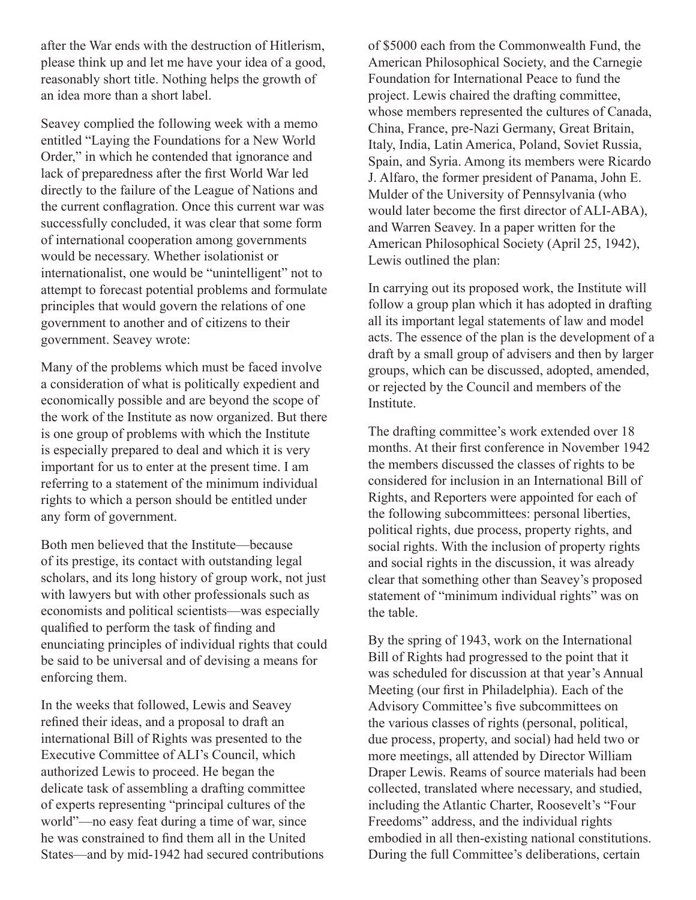after the War ends with the destruction of Hitlerism, please think up and let me have your idea of a good, reasonably short title. Nothing helps the growth of an idea more than a short label.

Seavey complied the following week with a memo entitled "Laying the Foundations for a New World Order," in which he contended that ignorance and lack of preparedness after the first World War led directly to the failure of the League of Nations and the current conflagration. Once this current war was successfully concluded, it was clear that some form of international cooperation among governments would be necessary. Whether isolationist or internationalist, one would be "unintelligent" not to attempt to forecast potential problems and formulate principles that would govern the relations of one government to another and of citizens to their government. Seavey wrote:

Many of the problems which must be faced involve a consideration of what is politically expedient and economically possible and are beyond the scope of the work of the Institute as now organized. But there is one group of problems with which the Institute is especially prepared to deal and which it is very important for us to enter at the present time. I am referring to a statement of the minimum individual rights to which a person should be entitled under any form of government.

Both men believed that the Institute—because of its prestige, its contact with outstanding legal scholars, and its long history of group work, not just with lawyers but with other professionals such as economists and political scientists—was especially qualified to perform the task of finding and enunciating principles of individual rights that could be said to be universal and of devising a means for enforcing them.

In the weeks that followed, Lewis and Seavey refined their ideas, and a proposal to draft an international Bill of Rights was presented to the Executive Committee of ALI's Council, which authorized Lewis to proceed. He began the delicate task of assembling a drafting committee of experts representing "principal cultures of the world"—no easy feat during a time of war, since he was constrained to find them all in the United States—and by mid-1942 had secured contributions of \$5000 each from the Commonwealth Fund, the American Philosophical Society, and the Carnegie Foundation for International Peace to fund the project. Lewis chaired the drafting committee, whose members represented the cultures of Canada, China, France, pre-Nazi Germany, Great Britain, Italy, India, Latin America, Poland, Soviet Russia, Spain, and Syria. Among its members were Ricardo J. Alfaro, the former president of Panama, John E. Mulder of the University of Pennsylvania (who would later become the first director of ALI-ABA), and Warren Seavey. In a paper written for the American Philosophical Society (April 25, 1942), Lewis outlined the plan:

In carrying out its proposed work, the Institute will follow a group plan which it has adopted in drafting all its important legal statements of law and model acts. The essence of the plan is the development of a draft by a small group of advisers and then by larger groups, which can be discussed, adopted, amended, or rejected by the Council and members of the Institute.

The drafting committee's work extended over 18 months. At their first conference in November 1942 the members discussed the classes of rights to be considered for inclusion in an International Bill of Rights, and Reporters were appointed for each of the following subcommittees: personal liberties, political rights, due process, property rights, and social rights. With the inclusion of property rights and social rights in the discussion, it was already clear that something other than Seavey's proposed statement of "minimum individual rights" was on the table.

By the spring of 1943, work on the International Bill of Rights had progressed to the point that it was scheduled for discussion at that year's Annual Meeting (our first in Philadelphia). Each of the Advisory Committee's five subcommittees on the various classes of rights (personal, political, due process, property, and social) had held two or more meetings, all attended by Director William Draper Lewis. Reams of source materials had been collected, translated where necessary, and studied, including the Atlantic Charter, Roosevelt's "Four Freedoms" address, and the individual rights embodied in all then-existing national constitutions. During the full Committee's deliberations, certain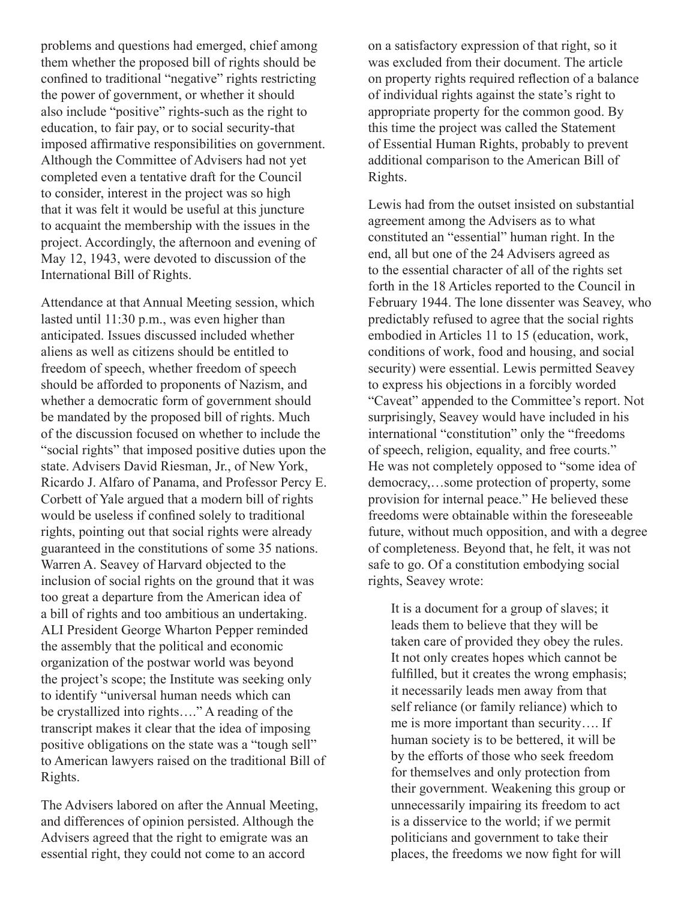problems and questions had emerged, chief among them whether the proposed bill of rights should be confined to traditional "negative" rights restricting the power of government, or whether it should also include "positive" rights-such as the right to education, to fair pay, or to social security-that imposed affirmative responsibilities on government. Although the Committee of Advisers had not yet completed even a tentative draft for the Council to consider, interest in the project was so high that it was felt it would be useful at this juncture to acquaint the membership with the issues in the project. Accordingly, the afternoon and evening of May 12, 1943, were devoted to discussion of the International Bill of Rights.

Attendance at that Annual Meeting session, which lasted until 11:30 p.m., was even higher than anticipated. Issues discussed included whether aliens as well as citizens should be entitled to freedom of speech, whether freedom of speech should be afforded to proponents of Nazism, and whether a democratic form of government should be mandated by the proposed bill of rights. Much of the discussion focused on whether to include the "social rights" that imposed positive duties upon the state. Advisers David Riesman, Jr., of New York, Ricardo J. Alfaro of Panama, and Professor Percy E. Corbett of Yale argued that a modern bill of rights would be useless if confined solely to traditional rights, pointing out that social rights were already guaranteed in the constitutions of some 35 nations. Warren A. Seavey of Harvard objected to the inclusion of social rights on the ground that it was too great a departure from the American idea of a bill of rights and too ambitious an undertaking. ALI President George Wharton Pepper reminded the assembly that the political and economic organization of the postwar world was beyond the project's scope; the Institute was seeking only to identify "universal human needs which can be crystallized into rights…." A reading of the transcript makes it clear that the idea of imposing positive obligations on the state was a "tough sell" to American lawyers raised on the traditional Bill of Rights.

The Advisers labored on after the Annual Meeting, and differences of opinion persisted. Although the Advisers agreed that the right to emigrate was an essential right, they could not come to an accord

on a satisfactory expression of that right, so it was excluded from their document. The article on property rights required reflection of a balance of individual rights against the state's right to appropriate property for the common good. By this time the project was called the Statement of Essential Human Rights, probably to prevent additional comparison to the American Bill of Rights.

Lewis had from the outset insisted on substantial agreement among the Advisers as to what constituted an "essential" human right. In the end, all but one of the 24 Advisers agreed as to the essential character of all of the rights set forth in the 18 Articles reported to the Council in February 1944. The lone dissenter was Seavey, who predictably refused to agree that the social rights embodied in Articles 11 to 15 (education, work, conditions of work, food and housing, and social security) were essential. Lewis permitted Seavey to express his objections in a forcibly worded "Caveat" appended to the Committee's report. Not surprisingly, Seavey would have included in his international "constitution" only the "freedoms of speech, religion, equality, and free courts." He was not completely opposed to "some idea of democracy,…some protection of property, some provision for internal peace." He believed these freedoms were obtainable within the foreseeable future, without much opposition, and with a degree of completeness. Beyond that, he felt, it was not safe to go. Of a constitution embodying social rights, Seavey wrote:

It is a document for a group of slaves; it leads them to believe that they will be taken care of provided they obey the rules. It not only creates hopes which cannot be fulfilled, but it creates the wrong emphasis; it necessarily leads men away from that self reliance (or family reliance) which to me is more important than security…. If human society is to be bettered, it will be by the efforts of those who seek freedom for themselves and only protection from their government. Weakening this group or unnecessarily impairing its freedom to act is a disservice to the world; if we permit politicians and government to take their places, the freedoms we now fight for will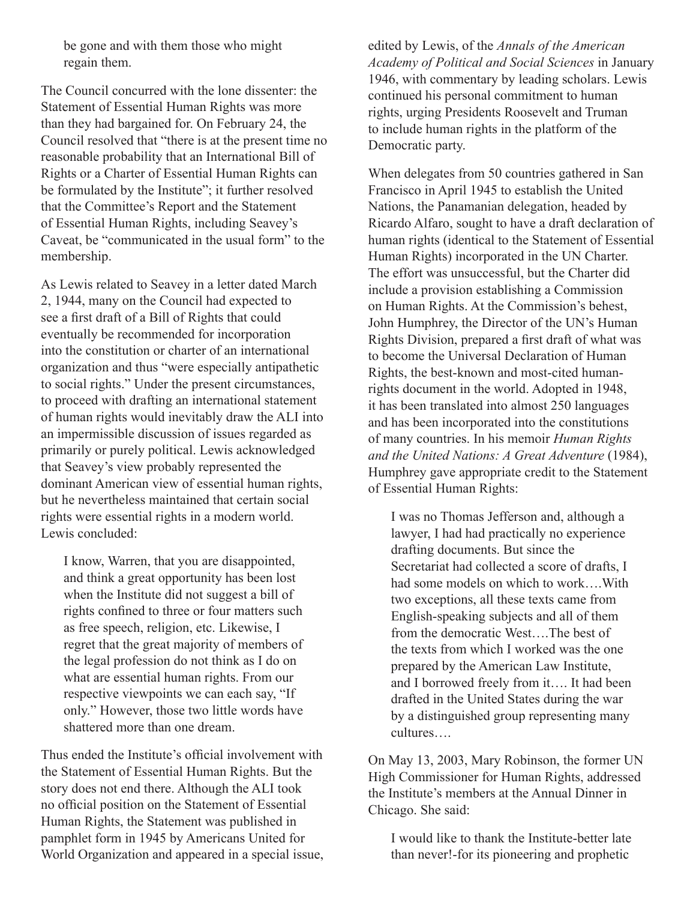be gone and with them those who might regain them.

The Council concurred with the lone dissenter: the Statement of Essential Human Rights was more than they had bargained for. On February 24, the Council resolved that "there is at the present time no reasonable probability that an International Bill of Rights or a Charter of Essential Human Rights can be formulated by the Institute"; it further resolved that the Committee's Report and the Statement of Essential Human Rights, including Seavey's Caveat, be "communicated in the usual form" to the membership.

As Lewis related to Seavey in a letter dated March 2, 1944, many on the Council had expected to see a first draft of a Bill of Rights that could eventually be recommended for incorporation into the constitution or charter of an international organization and thus "were especially antipathetic to social rights." Under the present circumstances, to proceed with drafting an international statement of human rights would inevitably draw the ALI into an impermissible discussion of issues regarded as primarily or purely political. Lewis acknowledged that Seavey's view probably represented the dominant American view of essential human rights, but he nevertheless maintained that certain social rights were essential rights in a modern world. Lewis concluded:

I know, Warren, that you are disappointed, and think a great opportunity has been lost when the Institute did not suggest a bill of rights confined to three or four matters such as free speech, religion, etc. Likewise, I regret that the great majority of members of the legal profession do not think as I do on what are essential human rights. From our respective viewpoints we can each say, "If only." However, those two little words have shattered more than one dream.

Thus ended the Institute's official involvement with the Statement of Essential Human Rights. But the story does not end there. Although the ALI took no official position on the Statement of Essential Human Rights, the Statement was published in pamphlet form in 1945 by Americans United for World Organization and appeared in a special issue, edited by Lewis, of the *Annals of the American Academy of Political and Social Sciences* in January 1946, with commentary by leading scholars. Lewis continued his personal commitment to human rights, urging Presidents Roosevelt and Truman to include human rights in the platform of the Democratic party.

When delegates from 50 countries gathered in San Francisco in April 1945 to establish the United Nations, the Panamanian delegation, headed by Ricardo Alfaro, sought to have a draft declaration of human rights (identical to the Statement of Essential Human Rights) incorporated in the UN Charter. The effort was unsuccessful, but the Charter did include a provision establishing a Commission on Human Rights. At the Commission's behest, John Humphrey, the Director of the UN's Human Rights Division, prepared a first draft of what was to become the Universal Declaration of Human Rights, the best-known and most-cited humanrights document in the world. Adopted in 1948, it has been translated into almost 250 languages and has been incorporated into the constitutions of many countries. In his memoir *Human Rights and the United Nations: A Great Adventure* (1984), Humphrey gave appropriate credit to the Statement of Essential Human Rights:

I was no Thomas Jefferson and, although a lawyer, I had had practically no experience drafting documents. But since the Secretariat had collected a score of drafts, I had some models on which to work….With two exceptions, all these texts came from English-speaking subjects and all of them from the democratic West….The best of the texts from which I worked was the one prepared by the American Law Institute, and I borrowed freely from it…. It had been drafted in the United States during the war by a distinguished group representing many cultures….

On May 13, 2003, Mary Robinson, the former UN High Commissioner for Human Rights, addressed the Institute's members at the Annual Dinner in Chicago. She said:

I would like to thank the Institute-better late than never!-for its pioneering and prophetic